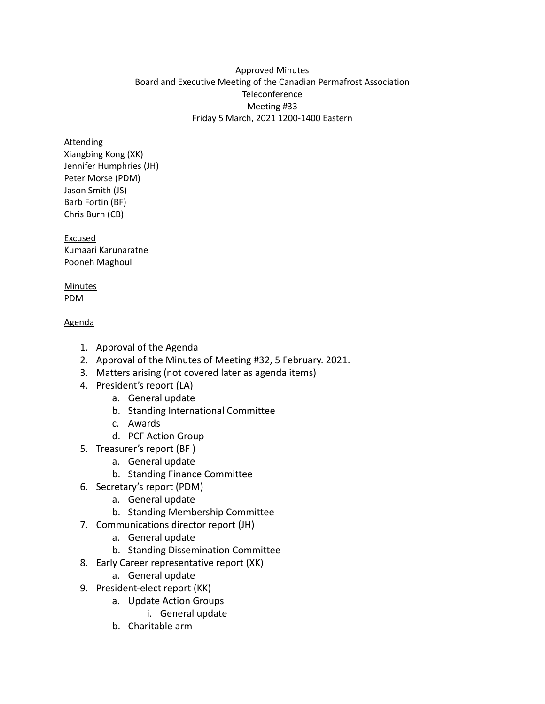### Approved Minutes Board and Executive Meeting of the Canadian Permafrost Association **Teleconference** Meeting #33 Friday 5 March, 2021 1200-1400 Eastern

### **Attending**

Xiangbing Kong (XK) Jennifer Humphries (JH) Peter Morse (PDM) Jason Smith (JS) Barb Fortin (BF) Chris Burn (CB)

Excused Kumaari Karunaratne Pooneh Maghoul

#### **Minutes** PDM

### Agenda

- 1. Approval of the Agenda
- 2. Approval of the Minutes of Meeting #32, 5 February. 2021.
- 3. Matters arising (not covered later as agenda items)
- 4. President's report (LA)
	- a. General update
	- b. Standing International Committee
	- c. Awards
	- d. PCF Action Group
- 5. Treasurer's report (BF )
	- a. General update
	- b. Standing Finance Committee
- 6. Secretary's report (PDM)
	- a. General update
	- b. Standing Membership Committee
- 7. Communications director report (JH)
	- a. General update
	- b. Standing Dissemination Committee
- 8. Early Career representative report (XK)
	- a. General update
- 9. President-elect report (KK)
	- a. Update Action Groups
		- i. General update
	- b. Charitable arm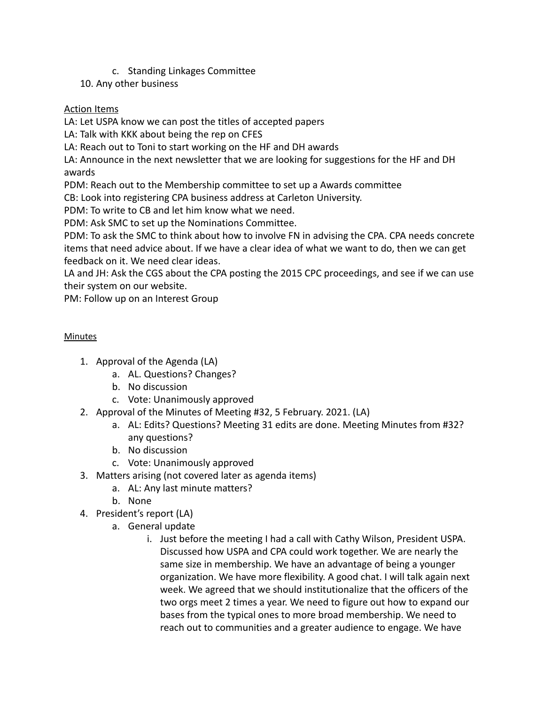c. Standing Linkages Committee

10. Any other business

## Action Items

LA: Let USPA know we can post the titles of accepted papers

LA: Talk with KKK about being the rep on CFES

LA: Reach out to Toni to start working on the HF and DH awards

LA: Announce in the next newsletter that we are looking for suggestions for the HF and DH awards

PDM: Reach out to the Membership committee to set up a Awards committee

CB: Look into registering CPA business address at Carleton University.

PDM: To write to CB and let him know what we need.

PDM: Ask SMC to set up the Nominations Committee.

PDM: To ask the SMC to think about how to involve FN in advising the CPA. CPA needs concrete items that need advice about. If we have a clear idea of what we want to do, then we can get feedback on it. We need clear ideas.

LA and JH: Ask the CGS about the CPA posting the 2015 CPC proceedings, and see if we can use their system on our website.

PM: Follow up on an Interest Group

# **Minutes**

- 1. Approval of the Agenda (LA)
	- a. AL. Questions? Changes?
	- b. No discussion
	- c. Vote: Unanimously approved
- 2. Approval of the Minutes of Meeting #32, 5 February. 2021. (LA)
	- a. AL: Edits? Questions? Meeting 31 edits are done. Meeting Minutes from #32? any questions?
	- b. No discussion
	- c. Vote: Unanimously approved
- 3. Matters arising (not covered later as agenda items)
	- a. AL: Any last minute matters?
	- b. None
- 4. President's report (LA)
	- a. General update
		- i. Just before the meeting I had a call with Cathy Wilson, President USPA. Discussed how USPA and CPA could work together. We are nearly the same size in membership. We have an advantage of being a younger organization. We have more flexibility. A good chat. I will talk again next week. We agreed that we should institutionalize that the officers of the two orgs meet 2 times a year. We need to figure out how to expand our bases from the typical ones to more broad membership. We need to reach out to communities and a greater audience to engage. We have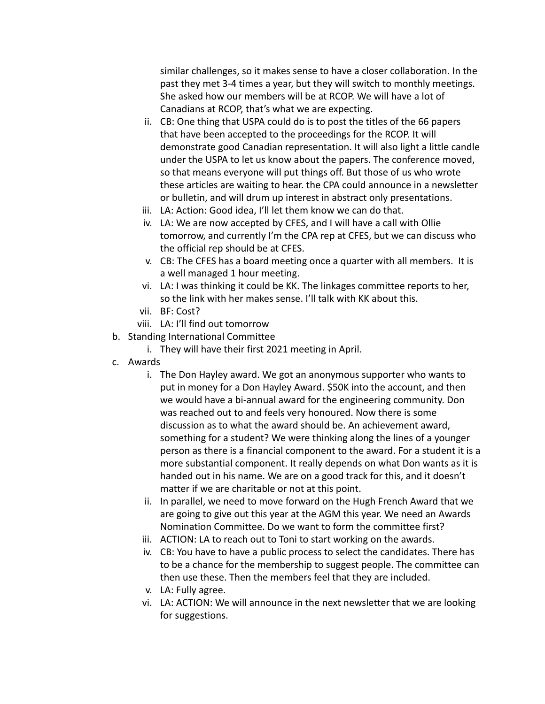similar challenges, so it makes sense to have a closer collaboration. In the past they met 3-4 times a year, but they will switch to monthly meetings. She asked how our members will be at RCOP. We will have a lot of Canadians at RCOP, that's what we are expecting.

- ii. CB: One thing that USPA could do is to post the titles of the 66 papers that have been accepted to the proceedings for the RCOP. It will demonstrate good Canadian representation. It will also light a little candle under the USPA to let us know about the papers. The conference moved, so that means everyone will put things off. But those of us who wrote these articles are waiting to hear. the CPA could announce in a newsletter or bulletin, and will drum up interest in abstract only presentations.
- iii. LA: Action: Good idea, I'll let them know we can do that.
- iv. LA: We are now accepted by CFES, and I will have a call with Ollie tomorrow, and currently I'm the CPA rep at CFES, but we can discuss who the official rep should be at CFES.
- v. CB: The CFES has a board meeting once a quarter with all members. It is a well managed 1 hour meeting.
- vi. LA: I was thinking it could be KK. The linkages committee reports to her, so the link with her makes sense. I'll talk with KK about this.
- vii. BF: Cost?
- viii. LA: I'll find out tomorrow
- b. Standing International Committee
	- i. They will have their first 2021 meeting in April.
- c. Awards
	- i. The Don Hayley award. We got an anonymous supporter who wants to put in money for a Don Hayley Award. \$50K into the account, and then we would have a bi-annual award for the engineering community. Don was reached out to and feels very honoured. Now there is some discussion as to what the award should be. An achievement award, something for a student? We were thinking along the lines of a younger person as there is a financial component to the award. For a student it is a more substantial component. It really depends on what Don wants as it is handed out in his name. We are on a good track for this, and it doesn't matter if we are charitable or not at this point.
	- ii. In parallel, we need to move forward on the Hugh French Award that we are going to give out this year at the AGM this year. We need an Awards Nomination Committee. Do we want to form the committee first?
	- iii. ACTION: LA to reach out to Toni to start working on the awards.
	- iv. CB: You have to have a public process to select the candidates. There has to be a chance for the membership to suggest people. The committee can then use these. Then the members feel that they are included.
	- v. LA: Fully agree.
	- vi. LA: ACTION: We will announce in the next newsletter that we are looking for suggestions.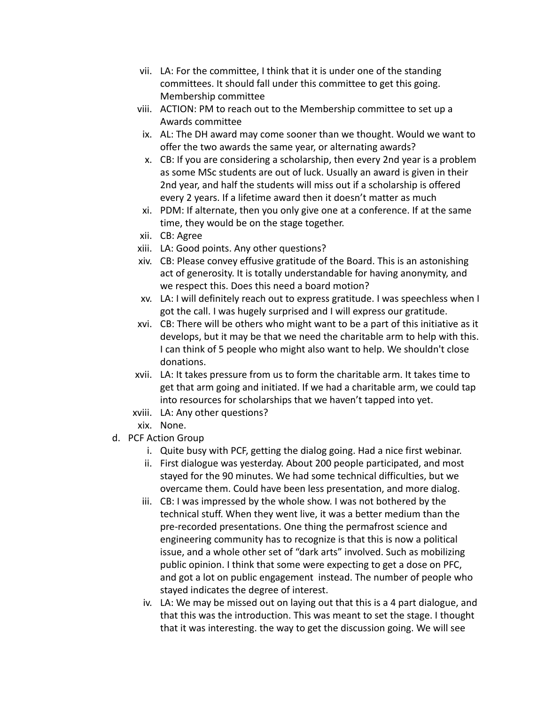- vii. LA: For the committee, I think that it is under one of the standing committees. It should fall under this committee to get this going. Membership committee
- viii. ACTION: PM to reach out to the Membership committee to set up a Awards committee
- ix. AL: The DH award may come sooner than we thought. Would we want to offer the two awards the same year, or alternating awards?
- x. CB: If you are considering a scholarship, then every 2nd year is a problem as some MSc students are out of luck. Usually an award is given in their 2nd year, and half the students will miss out if a scholarship is offered every 2 years. If a lifetime award then it doesn't matter as much
- xi. PDM: If alternate, then you only give one at a conference. If at the same time, they would be on the stage together.
- xii. CB: Agree
- xiii. LA: Good points. Any other questions?
- xiv. CB: Please convey effusive gratitude of the Board. This is an astonishing act of generosity. It is totally understandable for having anonymity, and we respect this. Does this need a board motion?
- xv. LA: I will definitely reach out to express gratitude. I was speechless when I got the call. I was hugely surprised and I will express our gratitude.
- xvi. CB: There will be others who might want to be a part of this initiative as it develops, but it may be that we need the charitable arm to help with this. I can think of 5 people who might also want to help. We shouldn't close donations.
- xvii. LA: It takes pressure from us to form the charitable arm. It takes time to get that arm going and initiated. If we had a charitable arm, we could tap into resources for scholarships that we haven't tapped into yet.
- xviii. LA: Any other questions?
- xix. None.
- d. PCF Action Group
	- i. Quite busy with PCF, getting the dialog going. Had a nice first webinar.
	- ii. First dialogue was yesterday. About 200 people participated, and most stayed for the 90 minutes. We had some technical difficulties, but we overcame them. Could have been less presentation, and more dialog.
	- iii. CB: I was impressed by the whole show. I was not bothered by the technical stuff. When they went live, it was a better medium than the pre-recorded presentations. One thing the permafrost science and engineering community has to recognize is that this is now a political issue, and a whole other set of "dark arts" involved. Such as mobilizing public opinion. I think that some were expecting to get a dose on PFC, and got a lot on public engagement instead. The number of people who stayed indicates the degree of interest.
	- iv. LA: We may be missed out on laying out that this is a 4 part dialogue, and that this was the introduction. This was meant to set the stage. I thought that it was interesting. the way to get the discussion going. We will see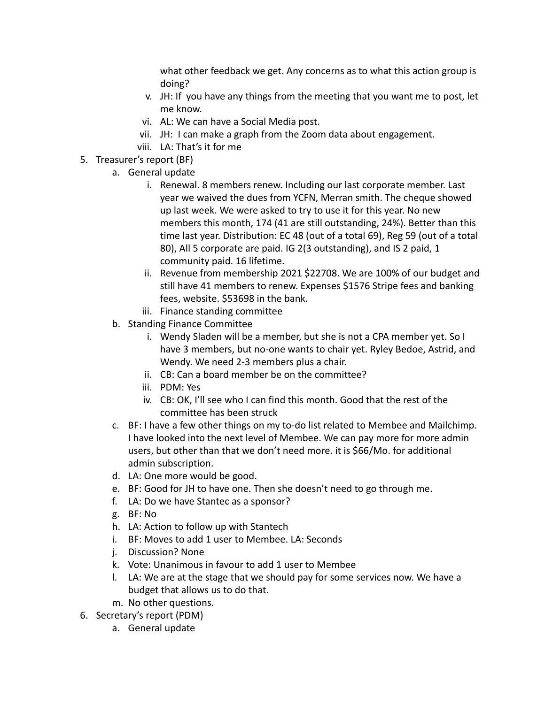what other feedback we get. Any concerns as to what this action group is doing?

- v. JH: If you have any things from the meeting that you want me to post, let me know.
- vi. AL: We can have a Social Media post.
- vii. JH: I can make a graph from the Zoom data about engagement.
- viii. LA: That's it for me
- 5. Treasurer's report (BF)
	- a. General update
		- i. Renewal. 8 members renew. Including our last corporate member. Last year we waived the dues from YCFN, Merran smith. The cheque showed up last week. We were asked to try to use it for this year. No new members this month, 174 (41 are still outstanding, 24%). Better than this time last year. Distribution: EC 48 (out of a total 69), Reg 59 (out of a total 80), All 5 corporate are paid. IG 2(3 outstanding), and IS 2 paid, 1 community paid. 16 lifetime.
		- ii. Revenue from membership 2021 \$22708. We are 100% of our budget and still have 41 members to renew. Expenses \$1576 Stripe fees and banking fees, website. \$53698 in the bank.
		- iii. Finance standing committee
	- b. Standing Finance Committee
		- i. Wendy Sladen will be a member, but she is not a CPA member yet. So I have 3 members, but no-one wants to chair yet. Ryley Bedoe, Astrid, and Wendy. We need 2-3 members plus a chair.
		- ii. CB: Can a board member be on the committee?
		- iii. PDM: Yes
		- iv. CB: OK, I'll see who I can find this month. Good that the rest of the committee has been struck
	- c. BF: I have a few other things on my to-do list related to Membee and Mailchimp. I have looked into the next level of Membee. We can pay more for more admin users, but other than that we don't need more. it is \$66/Mo. for additional admin subscription.
	- d. LA: One more would be good.
	- e. BF: Good for JH to have one. Then she doesn't need to go through me.
	- f. LA: Do we have Stantec as a sponsor?
	- g. BF: No
	- h. LA: Action to follow up with Stantech
	- i. BF: Moves to add 1 user to Membee. LA: Seconds
	- j. Discussion? None
	- k. Vote: Unanimous in favour to add 1 user to Membee
	- l. LA: We are at the stage that we should pay for some services now. We have a budget that allows us to do that.
	- m. No other questions.
- 6. Secretary's report (PDM)
	- a. General update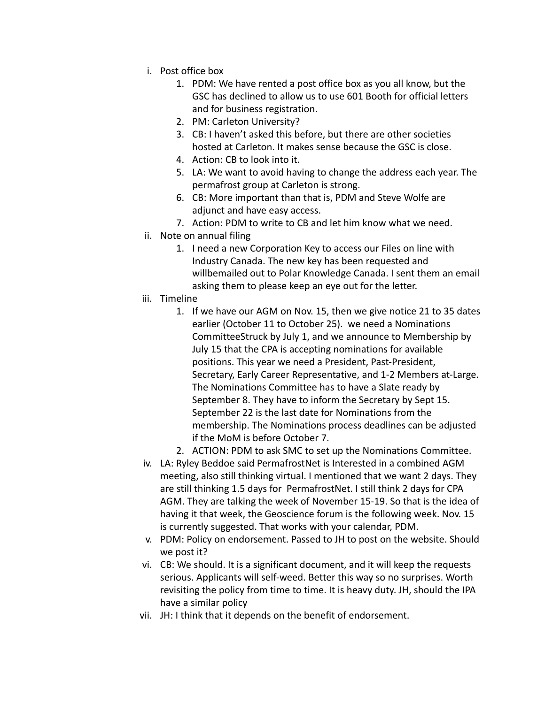- i. Post office box
	- 1. PDM: We have rented a post office box as you all know, but the GSC has declined to allow us to use 601 Booth for official letters and for business registration.
	- 2. PM: Carleton University?
	- 3. CB: I haven't asked this before, but there are other societies hosted at Carleton. It makes sense because the GSC is close.
	- 4. Action: CB to look into it.
	- 5. LA: We want to avoid having to change the address each year. The permafrost group at Carleton is strong.
	- 6. CB: More important than that is, PDM and Steve Wolfe are adjunct and have easy access.
	- 7. Action: PDM to write to CB and let him know what we need.
- ii. Note on annual filing
	- 1. I need a new Corporation Key to access our Files on line with Industry Canada. The new key has been requested and willbemailed out to Polar Knowledge Canada. I sent them an email asking them to please keep an eye out for the letter.
- iii. Timeline
	- 1. If we have our AGM on Nov. 15, then we give notice 21 to 35 dates earlier (October 11 to October 25). we need a Nominations CommitteeStruck by July 1, and we announce to Membership by July 15 that the CPA is accepting nominations for available positions. This year we need a President, Past-President, Secretary, Early Career Representative, and 1-2 Members at-Large. The Nominations Committee has to have a Slate ready by September 8. They have to inform the Secretary by Sept 15. September 22 is the last date for Nominations from the membership. The Nominations process deadlines can be adjusted if the MoM is before October 7.
	- 2. ACTION: PDM to ask SMC to set up the Nominations Committee.
- iv. LA: Ryley Beddoe said PermafrostNet is Interested in a combined AGM meeting, also still thinking virtual. I mentioned that we want 2 days. They are still thinking 1.5 days for PermafrostNet. I still think 2 days for CPA AGM. They are talking the week of November 15-19. So that is the idea of having it that week, the Geoscience forum is the following week. Nov. 15 is currently suggested. That works with your calendar, PDM.
- v. PDM: Policy on endorsement. Passed to JH to post on the website. Should we post it?
- vi. CB: We should. It is a significant document, and it will keep the requests serious. Applicants will self-weed. Better this way so no surprises. Worth revisiting the policy from time to time. It is heavy duty. JH, should the IPA have a similar policy
- vii. JH: I think that it depends on the benefit of endorsement.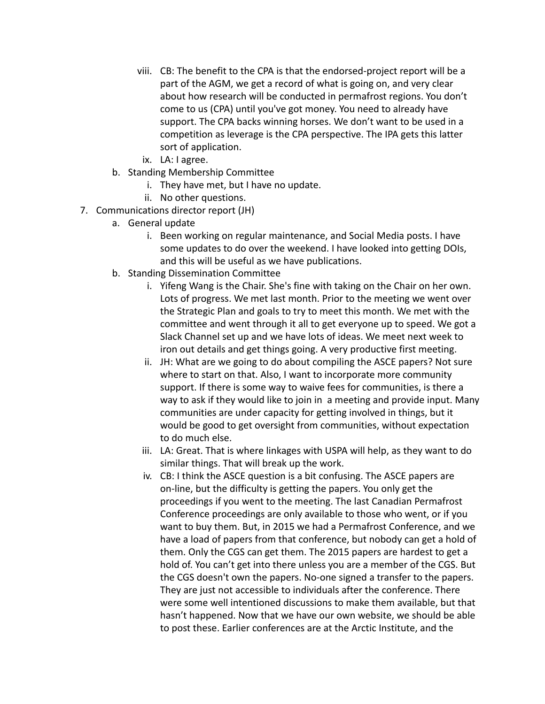- viii. CB: The benefit to the CPA is that the endorsed-project report will be a part of the AGM, we get a record of what is going on, and very clear about how research will be conducted in permafrost regions. You don't come to us (CPA) until you've got money. You need to already have support. The CPA backs winning horses. We don't want to be used in a competition as leverage is the CPA perspective. The IPA gets this latter sort of application.
- ix. LA: I agree.
- b. Standing Membership Committee
	- i. They have met, but I have no update.
	- ii. No other questions.
- 7. Communications director report (JH)
	- a. General update
		- i. Been working on regular maintenance, and Social Media posts. I have some updates to do over the weekend. I have looked into getting DOIs, and this will be useful as we have publications.
	- b. Standing Dissemination Committee
		- i. Yifeng Wang is the Chair. She's fine with taking on the Chair on her own. Lots of progress. We met last month. Prior to the meeting we went over the Strategic Plan and goals to try to meet this month. We met with the committee and went through it all to get everyone up to speed. We got a Slack Channel set up and we have lots of ideas. We meet next week to iron out details and get things going. A very productive first meeting.
		- ii. JH: What are we going to do about compiling the ASCE papers? Not sure where to start on that. Also, I want to incorporate more community support. If there is some way to waive fees for communities, is there a way to ask if they would like to join in a meeting and provide input. Many communities are under capacity for getting involved in things, but it would be good to get oversight from communities, without expectation to do much else.
		- iii. LA: Great. That is where linkages with USPA will help, as they want to do similar things. That will break up the work.
		- iv. CB: I think the ASCE question is a bit confusing. The ASCE papers are on-line, but the difficulty is getting the papers. You only get the proceedings if you went to the meeting. The last Canadian Permafrost Conference proceedings are only available to those who went, or if you want to buy them. But, in 2015 we had a Permafrost Conference, and we have a load of papers from that conference, but nobody can get a hold of them. Only the CGS can get them. The 2015 papers are hardest to get a hold of. You can't get into there unless you are a member of the CGS. But the CGS doesn't own the papers. No-one signed a transfer to the papers. They are just not accessible to individuals after the conference. There were some well intentioned discussions to make them available, but that hasn't happened. Now that we have our own website, we should be able to post these. Earlier conferences are at the Arctic Institute, and the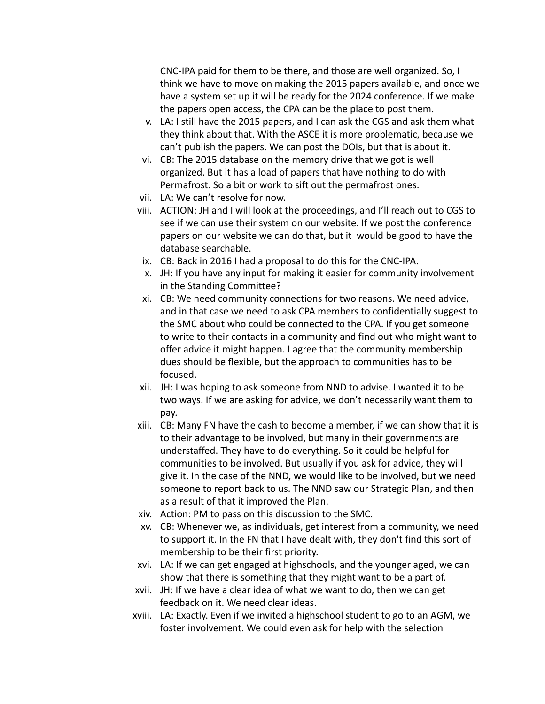CNC-IPA paid for them to be there, and those are well organized. So, I think we have to move on making the 2015 papers available, and once we have a system set up it will be ready for the 2024 conference. If we make the papers open access, the CPA can be the place to post them.

- v. LA: I still have the 2015 papers, and I can ask the CGS and ask them what they think about that. With the ASCE it is more problematic, because we can't publish the papers. We can post the DOIs, but that is about it.
- vi. CB: The 2015 database on the memory drive that we got is well organized. But it has a load of papers that have nothing to do with Permafrost. So a bit or work to sift out the permafrost ones.
- vii. LA: We can't resolve for now.
- viii. ACTION: JH and I will look at the proceedings, and I'll reach out to CGS to see if we can use their system on our website. If we post the conference papers on our website we can do that, but it would be good to have the database searchable.
	- ix. CB: Back in 2016 I had a proposal to do this for the CNC-IPA.
	- x. JH: If you have any input for making it easier for community involvement in the Standing Committee?
	- xi. CB: We need community connections for two reasons. We need advice, and in that case we need to ask CPA members to confidentially suggest to the SMC about who could be connected to the CPA. If you get someone to write to their contacts in a community and find out who might want to offer advice it might happen. I agree that the community membership dues should be flexible, but the approach to communities has to be focused.
- xii. JH: I was hoping to ask someone from NND to advise. I wanted it to be two ways. If we are asking for advice, we don't necessarily want them to pay.
- xiii. CB: Many FN have the cash to become a member, if we can show that it is to their advantage to be involved, but many in their governments are understaffed. They have to do everything. So it could be helpful for communities to be involved. But usually if you ask for advice, they will give it. In the case of the NND, we would like to be involved, but we need someone to report back to us. The NND saw our Strategic Plan, and then as a result of that it improved the Plan.
- xiv. Action: PM to pass on this discussion to the SMC.
- xv. CB: Whenever we, as individuals, get interest from a community, we need to support it. In the FN that I have dealt with, they don't find this sort of membership to be their first priority.
- xvi. LA: If we can get engaged at highschools, and the younger aged, we can show that there is something that they might want to be a part of.
- xvii. JH: If we have a clear idea of what we want to do, then we can get feedback on it. We need clear ideas.
- xviii. LA: Exactly. Even if we invited a highschool student to go to an AGM, we foster involvement. We could even ask for help with the selection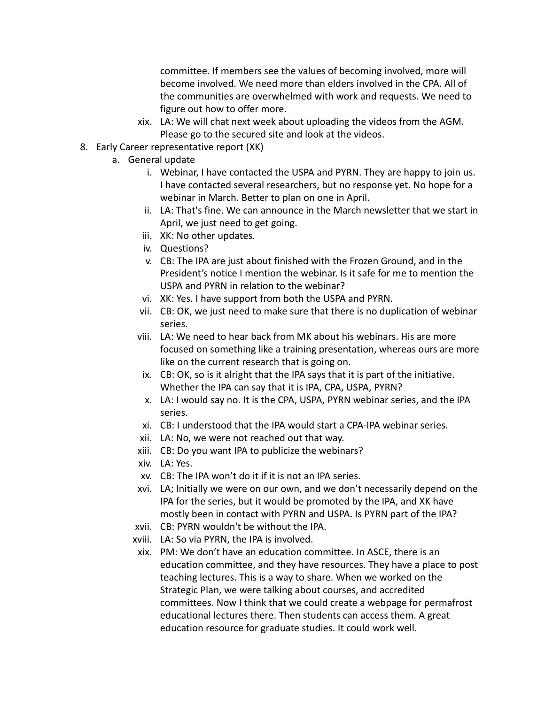committee. If members see the values of becoming involved, more will become involved. We need more than elders involved in the CPA. All of the communities are overwhelmed with work and requests. We need to figure out how to offer more.

- xix. LA: We will chat next week about uploading the videos from the AGM. Please go to the secured site and look at the videos.
- 8. Early Career representative report (XK)
	- a. General update
		- i. Webinar, I have contacted the USPA and PYRN. They are happy to join us. I have contacted several researchers, but no response yet. No hope for a webinar in March. Better to plan on one in April.
		- ii. LA: That's fine. We can announce in the March newsletter that we start in April, we just need to get going.
		- iii. XK: No other updates.
		- iv. Questions?
		- v. CB: The IPA are just about finished with the Frozen Ground, and in the President's notice I mention the webinar. Is it safe for me to mention the USPA and PYRN in relation to the webinar?
		- vi. XK: Yes. I have support from both the USPA and PYRN.
		- vii. CB: OK, we just need to make sure that there is no duplication of webinar series.
		- viii. LA: We need to hear back from MK about his webinars. His are more focused on something like a training presentation, whereas ours are more like on the current research that is going on.
		- ix. CB: OK, so is it alright that the IPA says that it is part of the initiative. Whether the IPA can say that it is IPA, CPA, USPA, PYRN?
		- x. LA: I would say no. It is the CPA, USPA, PYRN webinar series, and the IPA series.
		- xi. CB: I understood that the IPA would start a CPA-IPA webinar series.
		- xii. LA: No, we were not reached out that way.
		- xiii. CB: Do you want IPA to publicize the webinars?
		- xiv. LA: Yes.
		- xv. CB: The IPA won't do it if it is not an IPA series.
		- xvi. LA; Initially we were on our own, and we don't necessarily depend on the IPA for the series, but it would be promoted by the IPA, and XK have mostly been in contact with PYRN and USPA. Is PYRN part of the IPA?
		- xvii. CB: PYRN wouldn't be without the IPA.
		- xviii. LA: So via PYRN, the IPA is involved.
		- xix. PM: We don't have an education committee. In ASCE, there is an education committee, and they have resources. They have a place to post teaching lectures. This is a way to share. When we worked on the Strategic Plan, we were talking about courses, and accredited committees. Now I think that we could create a webpage for permafrost educational lectures there. Then students can access them. A great education resource for graduate studies. It could work well.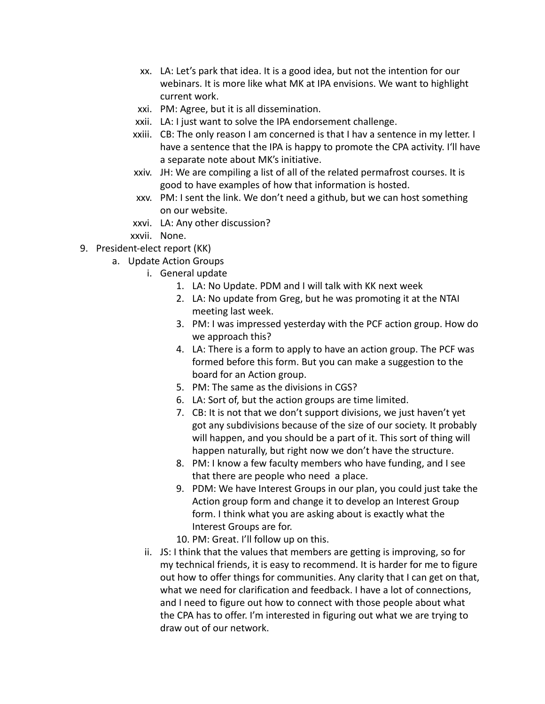- xx. LA: Let's park that idea. It is a good idea, but not the intention for our webinars. It is more like what MK at IPA envisions. We want to highlight current work.
- xxi. PM: Agree, but it is all dissemination.
- xxii. LA: I just want to solve the IPA endorsement challenge.
- xxiii. CB: The only reason I am concerned is that I hav a sentence in my letter. I have a sentence that the IPA is happy to promote the CPA activity. I'll have a separate note about MK's initiative.
- xxiv. JH: We are compiling a list of all of the related permafrost courses. It is good to have examples of how that information is hosted.
- xxv. PM: I sent the link. We don't need a github, but we can host something on our website.
- xxvi. LA: Any other discussion?
- xxvii. None.
- 9. President-elect report (KK)
	- a. Update Action Groups
		- i. General update
			- 1. LA: No Update. PDM and I will talk with KK next week
			- 2. LA: No update from Greg, but he was promoting it at the NTAI meeting last week.
			- 3. PM: I was impressed yesterday with the PCF action group. How do we approach this?
			- 4. LA: There is a form to apply to have an action group. The PCF was formed before this form. But you can make a suggestion to the board for an Action group.
			- 5. PM: The same as the divisions in CGS?
			- 6. LA: Sort of, but the action groups are time limited.
			- 7. CB: It is not that we don't support divisions, we just haven't yet got any subdivisions because of the size of our society. It probably will happen, and you should be a part of it. This sort of thing will happen naturally, but right now we don't have the structure.
			- 8. PM: I know a few faculty members who have funding, and I see that there are people who need a place.
			- 9. PDM: We have Interest Groups in our plan, you could just take the Action group form and change it to develop an Interest Group form. I think what you are asking about is exactly what the Interest Groups are for.
			- 10. PM: Great. I'll follow up on this.
			- ii. JS: I think that the values that members are getting is improving, so for my technical friends, it is easy to recommend. It is harder for me to figure out how to offer things for communities. Any clarity that I can get on that, what we need for clarification and feedback. I have a lot of connections, and I need to figure out how to connect with those people about what the CPA has to offer. I'm interested in figuring out what we are trying to draw out of our network.